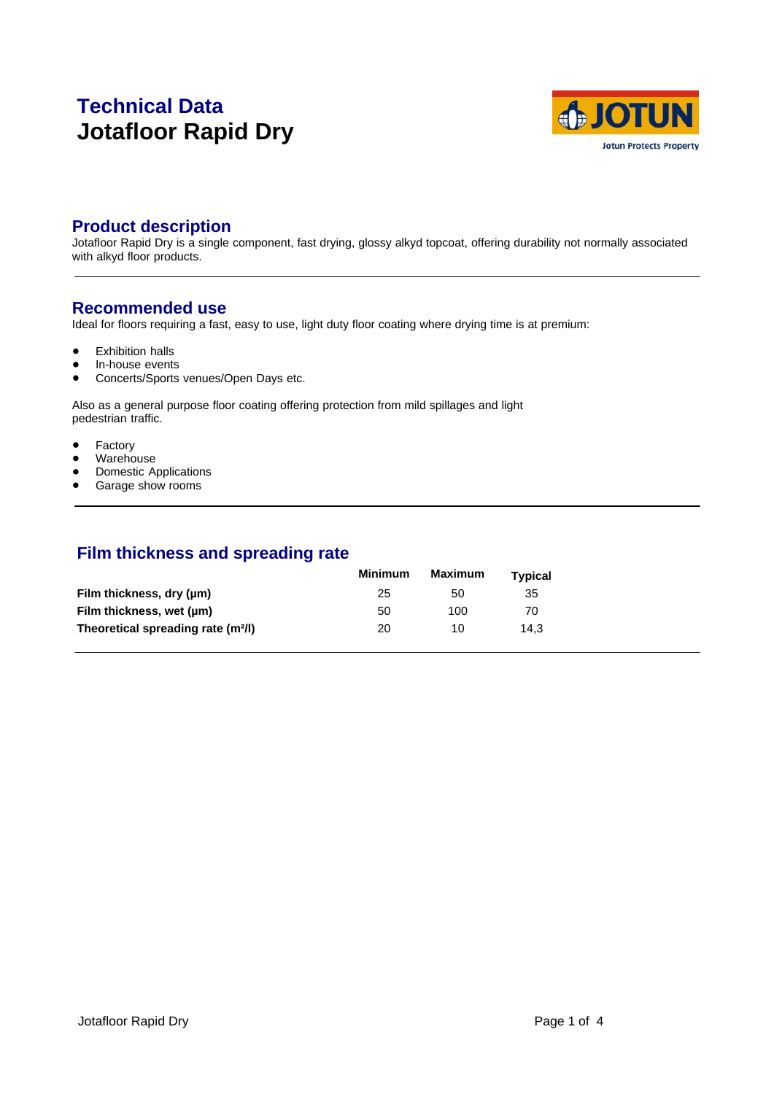# **Technical Data Jotafloor Rapid Dry**



# **Product description**

Jotafloor Rapid Dry is a single component, fast drying, glossy alkyd topcoat, offering durability not normally associated with alkyd floor products.

# **Recommended use**

Ideal for floors requiring a fast, easy to use, light duty floor coating where drying time is at premium:

- $\bullet$ Exhibition halls
- $\bullet$ In-house events
- Concerts/Sports venues/Open Days etc.  $\bullet$

Also as a general purpose floor coating offering protection from mild spillages and light pedestrian traffic.

- Factory  $\bullet$
- Warehouse  $\bullet$
- Domestic Applications  $\bullet$
- $\bullet$ Garage show rooms

# **Film thickness and spreading rate**

|                                                | Minimum | Maximum | Tvpical |  |
|------------------------------------------------|---------|---------|---------|--|
| Film thickness, dry (um)                       | 25      | 50      | 35      |  |
| Film thickness, wet (µm)                       | 50      | 100     | 70      |  |
| Theoretical spreading rate (m <sup>2</sup> /l) | 20      | 10      | 14.3    |  |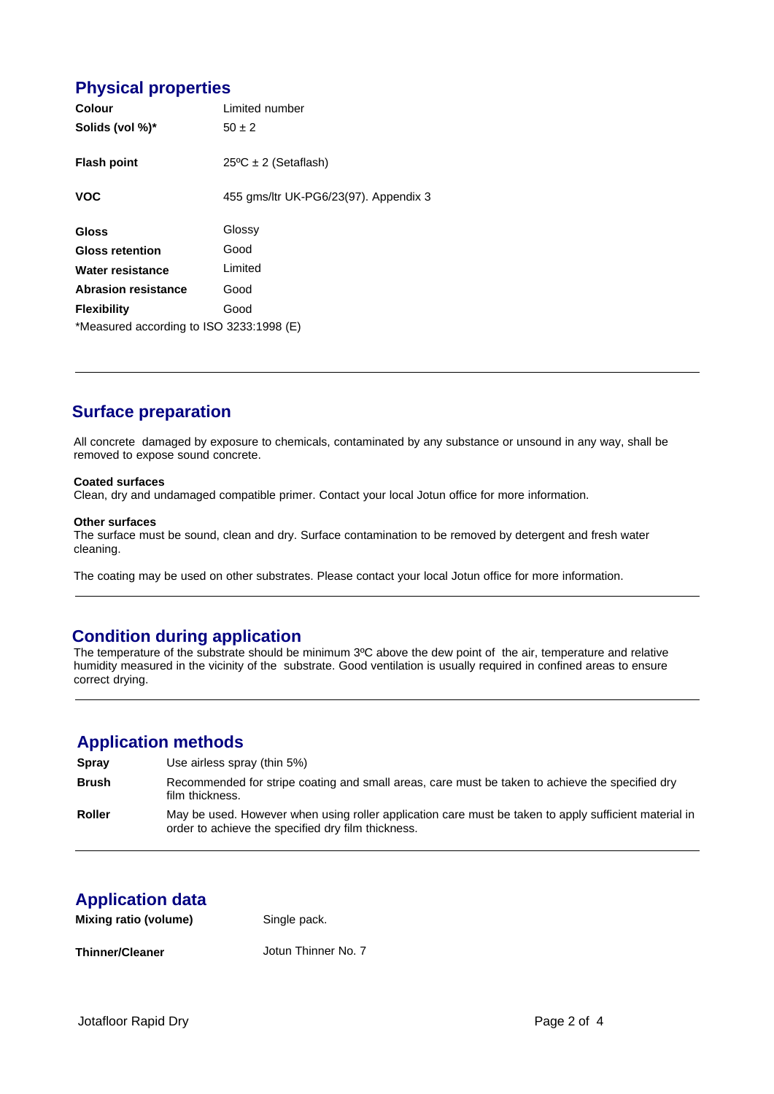# **Physical properties**

| Colour                                   | Limited number                        |  |  |
|------------------------------------------|---------------------------------------|--|--|
| Solids (vol %)*                          | $50 \pm 2$                            |  |  |
| <b>Flash point</b>                       | $25^{\circ}$ C ± 2 (Setaflash)        |  |  |
| <b>VOC</b>                               | 455 gms/ltr UK-PG6/23(97). Appendix 3 |  |  |
| <b>Gloss</b>                             | Glossy                                |  |  |
| <b>Gloss retention</b>                   | Good                                  |  |  |
| Water resistance                         | Limited                               |  |  |
| <b>Abrasion resistance</b>               | Good                                  |  |  |
| <b>Flexibility</b>                       | Good                                  |  |  |
| *Measured according to ISO 3233:1998 (E) |                                       |  |  |

# **Surface preparation**

All concrete damaged by exposure to chemicals, contaminated by any substance or unsound in any way, shall be removed to expose sound concrete.

### **Coated surfaces**

Clean, dry and undamaged compatible primer. Contact your local Jotun office for more information.

#### **Other surfaces**

The surface must be sound, clean and dry. Surface contamination to be removed by detergent and fresh water cleaning.

The coating may be used on other substrates. Please contact your local Jotun office for more information.

# **Condition during application**

The temperature of the substrate should be minimum 3ºC above the dew point of the air, temperature and relative humidity measured in the vicinity of the substrate. Good ventilation is usually required in confined areas to ensure correct drying.

### **Application methods**

| <b>Spray</b>  | Use airless spray (thin 5%)                                                                                                                                 |
|---------------|-------------------------------------------------------------------------------------------------------------------------------------------------------------|
| <b>Brush</b>  | Recommended for stripe coating and small areas, care must be taken to achieve the specified dry<br>film thickness.                                          |
| <b>Roller</b> | May be used. However when using roller application care must be taken to apply sufficient material in<br>order to achieve the specified dry film thickness. |

# **Application data**

| Mixing ratio (volume)  | Single pack.        |  |  |
|------------------------|---------------------|--|--|
| <b>Thinner/Cleaner</b> | Jotun Thinner No. 7 |  |  |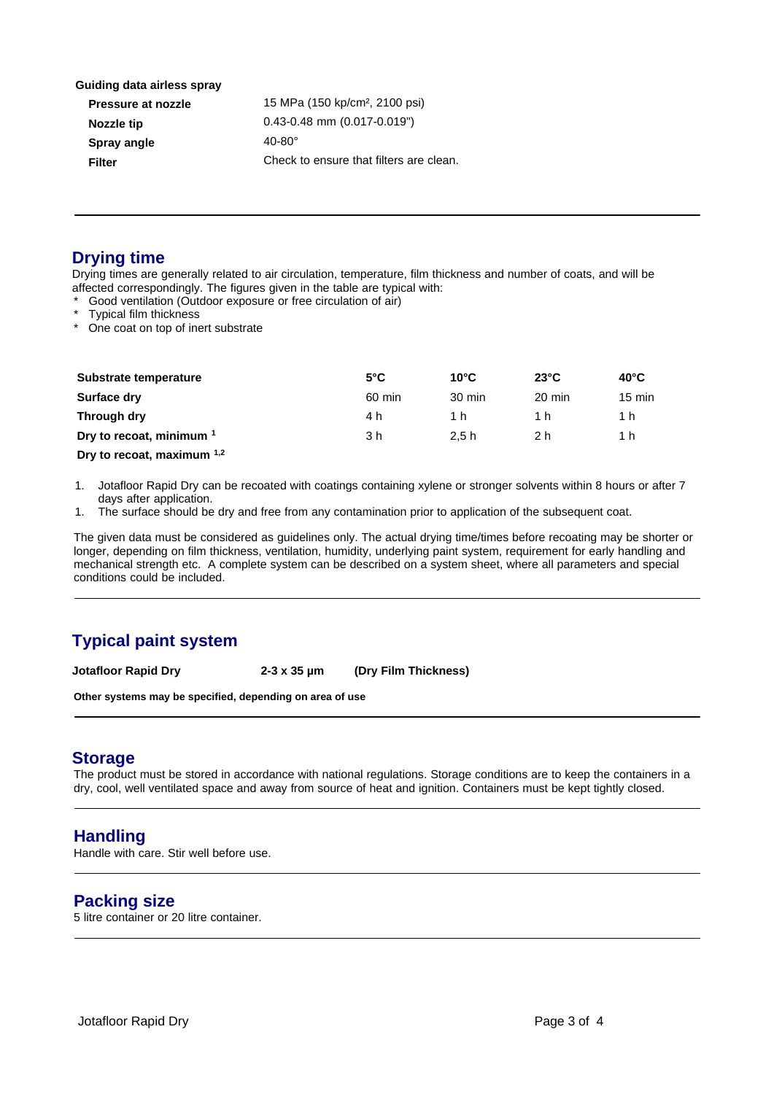**Guiding data airless spray**

| Pressure at nozzle | 15 MPa (150      |
|--------------------|------------------|
| Nozzle tip         | $0.43 - 0.48$ mm |
| Spray angle        | $40-80^\circ$    |
| Filter             | Check to ens     |
|                    |                  |

 **Pressure at nozzle** 15 MPa (150 kp/cm², 2100 psi) 0.43-0.48 mm (0.017-0.019") Check to ensure that filters are clean.

# **Drying time**

Drying times are generally related to air circulation, temperature, film thickness and number of coats, and will be affected correspondingly. The figures given in the table are typical with:

- Good ventilation (Outdoor exposure or free circulation of air)
- Typical film thickness
- One coat on top of inert substrate

| Substrate temperature               | $5^{\circ}$ C | $10^{\circ}$ C   | $23^{\circ}$ C | $40^{\circ}$ C   |
|-------------------------------------|---------------|------------------|----------------|------------------|
| Surface dry                         | 60 min        | $30 \text{ min}$ | 20 min         | $15 \text{ min}$ |
| Through dry                         | 4 h           | 1 h              | 1 h            | 1 h.             |
| Dry to recoat, minimum <sup>1</sup> | 3 h           | 2.5h             | 2 h            | 1 h.             |
|                                     |               |                  |                |                  |

**Dry to recoat, maximum 1,2**

1. Jotafloor Rapid Dry can be recoated with coatings containing xylene or stronger solvents within 8 hours or after 7 days after application.

1. The surface should be dry and free from any contamination prior to application of the subsequent coat.

The given data must be considered as guidelines only. The actual drying time/times before recoating may be shorter or longer, depending on film thickness, ventilation, humidity, underlying paint system, requirement for early handling and mechanical strength etc. A complete system can be described on a system sheet, where all parameters and special conditions could be included.

# **Typical paint system**

**Jotafloor Rapid Dry 2-3 x 35 µm (Dry Film Thickness)** 

**Other systems may be specified, depending on area of use**

### **Storage**

The product must be stored in accordance with national regulations. Storage conditions are to keep the containers in a dry, cool, well ventilated space and away from source of heat and ignition. Containers must be kept tightly closed.

# **Handling**

Handle with care. Stir well before use.

# **Packing size**

5 litre container or 20 litre container.